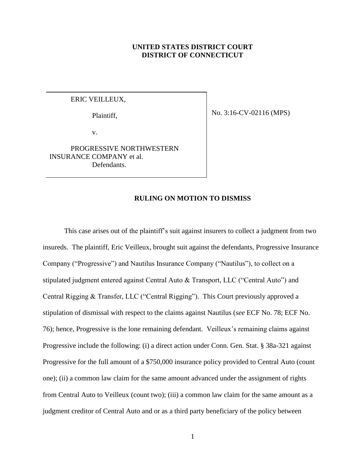### **UNITED STATES DISTRICT COURT DISTRICT OF CONNECTICUT**

## ERIC VEILLEUX,

Plaintiff,

No. 3:16-CV-02116 (MPS)

v.

PROGRESSIVE NORTHWESTERN INSURANCE COMPANY et al. Defendants.

### **RULING ON MOTION TO DISMISS**

This case arises out of the plaintiff's suit against insurers to collect a judgment from two insureds. The plaintiff, Eric Veilleux, brought suit against the defendants, Progressive Insurance Company ("Progressive") and Nautilus Insurance Company ("Nautilus"), to collect on a stipulated judgment entered against Central Auto & Transport, LLC ("Central Auto") and Central Rigging & Transfer, LLC ("Central Rigging"). This Court previously approved a stipulation of dismissal with respect to the claims against Nautilus (*see* ECF No. 78; ECF No. 76); hence, Progressive is the lone remaining defendant. Veilleux's remaining claims against Progressive include the following: (i) a direct action under Conn. Gen. Stat. § 38a-321 against Progressive for the full amount of a \$750,000 insurance policy provided to Central Auto (count one); (ii) a common law claim for the same amount advanced under the assignment of rights from Central Auto to Veilleux (count two); (iii) a common law claim for the same amount as a judgment creditor of Central Auto and or as a third party beneficiary of the policy between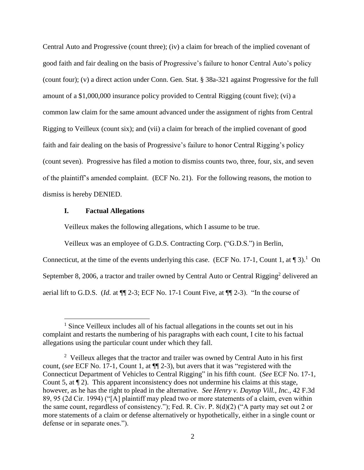Central Auto and Progressive (count three); (iv) a claim for breach of the implied covenant of good faith and fair dealing on the basis of Progressive's failure to honor Central Auto's policy (count four); (v) a direct action under Conn. Gen. Stat. § 38a-321 against Progressive for the full amount of a \$1,000,000 insurance policy provided to Central Rigging (count five); (vi) a common law claim for the same amount advanced under the assignment of rights from Central Rigging to Veilleux (count six); and (vii) a claim for breach of the implied covenant of good faith and fair dealing on the basis of Progressive's failure to honor Central Rigging's policy (count seven). Progressive has filed a motion to dismiss counts two, three, four, six, and seven of the plaintiff's amended complaint. (ECF No. 21). For the following reasons, the motion to dismiss is hereby DENIED.

#### **I. Factual Allegations**

 $\overline{a}$ 

Veilleux makes the following allegations, which I assume to be true.

Veilleux was an employee of G.D.S. Contracting Corp. ("G.D.S.") in Berlin,

Connecticut, at the time of the events underlying this case. (ECF No. 17-1, Count 1, at  $\P$ 3).<sup>1</sup> On September 8, 2006, a tractor and trailer owned by Central Auto or Central Rigging<sup>2</sup> delivered an aerial lift to G.D.S. (*Id.* at ¶¶ 2-3; ECF No. 17-1 Count Five, at ¶¶ 2-3). "In the course of

<sup>&</sup>lt;sup>1</sup> Since Veilleux includes all of his factual allegations in the counts set out in his complaint and restarts the numbering of his paragraphs with each count, I cite to his factual allegations using the particular count under which they fall.

 $2$  Veilleux alleges that the tractor and trailer was owned by Central Auto in his first count, (*see* ECF No. 17-1, Count 1, at ¶¶ 2-3), but avers that it was "registered with the Connecticut Department of Vehicles to Central Rigging" in his fifth count. (*See* ECF No. 17-1, Count 5, at ¶ 2). This apparent inconsistency does not undermine his claims at this stage, however, as he has the right to plead in the alternative. *See Henry v. Daytop Vill., Inc.*, 42 F.3d 89, 95 (2d Cir. 1994) ("[A] plaintiff may plead two or more statements of a claim, even within the same count, regardless of consistency."); Fed. R. Civ. P. 8(d)(2) ("A party may set out 2 or more statements of a claim or defense alternatively or hypothetically, either in a single count or defense or in separate ones.").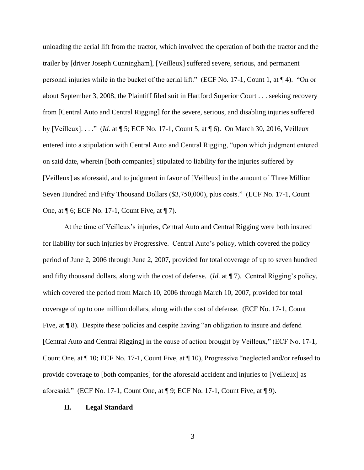unloading the aerial lift from the tractor, which involved the operation of both the tractor and the trailer by [driver Joseph Cunningham], [Veilleux] suffered severe, serious, and permanent personal injuries while in the bucket of the aerial lift." (ECF No. 17-1, Count 1, at ¶ 4). "On or about September 3, 2008, the Plaintiff filed suit in Hartford Superior Court . . . seeking recovery from [Central Auto and Central Rigging] for the severe, serious, and disabling injuries suffered by [Veilleux]. . . ." (*Id.* at ¶ 5; ECF No. 17-1, Count 5, at ¶ 6). On March 30, 2016, Veilleux entered into a stipulation with Central Auto and Central Rigging, "upon which judgment entered on said date, wherein [both companies] stipulated to liability for the injuries suffered by [Veilleux] as aforesaid, and to judgment in favor of [Veilleux] in the amount of Three Million Seven Hundred and Fifty Thousand Dollars (\$3,750,000), plus costs." (ECF No. 17-1, Count One, at ¶ 6; ECF No. 17-1, Count Five, at ¶ 7).

At the time of Veilleux's injuries, Central Auto and Central Rigging were both insured for liability for such injuries by Progressive. Central Auto's policy, which covered the policy period of June 2, 2006 through June 2, 2007, provided for total coverage of up to seven hundred and fifty thousand dollars, along with the cost of defense. (*Id.* at ¶ 7). Central Rigging's policy, which covered the period from March 10, 2006 through March 10, 2007, provided for total coverage of up to one million dollars, along with the cost of defense. (ECF No. 17-1, Count Five, at  $\P$  8). Despite these policies and despite having "an obligation to insure and defend [Central Auto and Central Rigging] in the cause of action brought by Veilleux," (ECF No. 17-1, Count One, at ¶ 10; ECF No. 17-1, Count Five, at ¶ 10), Progressive "neglected and/or refused to provide coverage to [both companies] for the aforesaid accident and injuries to [Veilleux] as aforesaid." (ECF No. 17-1, Count One, at  $\P$  9; ECF No. 17-1, Count Five, at  $\P$  9).

#### **II. Legal Standard**

3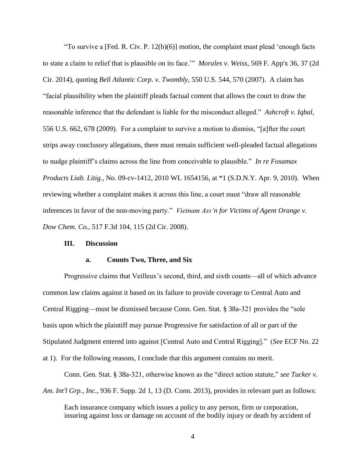"To survive a [Fed. R. Civ. P. 12(b)(6)] motion, the complaint must plead 'enough facts to state a claim to relief that is plausible on its face.'" *Morales v. Weiss*, 569 F. App'x 36, 37 (2d Cir. 2014), quoting *Bell Atlantic Corp. v. Twombly*, 550 U.S. 544, 570 (2007). A claim has "facial plausibility when the plaintiff pleads factual content that allows the court to draw the reasonable inference that the defendant is liable for the misconduct alleged." *Ashcroft v. Iqbal*, 556 U.S. 662, 678 (2009). For a complaint to survive a motion to dismiss, "[a]fter the court strips away conclusory allegations, there must remain sufficient well-pleaded factual allegations to nudge plaintiff's claims across the line from conceivable to plausible." *In re Fosamax Products Liab. Litig.*, No. 09-cv-1412, 2010 WL 1654156, at \*1 (S.D.N.Y. Apr. 9, 2010). When reviewing whether a complaint makes it across this line, a court must "draw all reasonable inferences in favor of the non-moving party." *Vietnam Ass'n for Victims of Agent Orange v. Dow Chem. Co.*, 517 F.3d 104, 115 (2d Cir. 2008).

#### **III. Discussion**

#### **a. Counts Two, Three, and Six**

Progressive claims that Veilleux's second, third, and sixth counts—all of which advance common law claims against it based on its failure to provide coverage to Central Auto and Central Rigging—must be dismissed because Conn. Gen. Stat. § 38a-321 provides the "sole basis upon which the plaintiff may pursue Progressive for satisfaction of all or part of the Stipulated Judgment entered into against [Central Auto and Central Rigging]." (*See* ECF No. 22 at 1). For the following reasons, I conclude that this argument contains no merit.

Conn. Gen. Stat. § 38a-321, otherwise known as the "direct action statute," *see Tucker v. Am. Int'l Grp., Inc.*, 936 F. Supp. 2d 1, 13 (D. Conn. 2013), provides in relevant part as follows:

Each insurance company which issues a policy to any person, firm or corporation, insuring against loss or damage on account of the bodily injury or death by accident of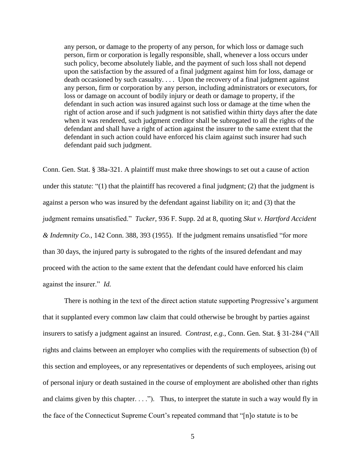any person, or damage to the property of any person, for which loss or damage such person, firm or corporation is legally responsible, shall, whenever a loss occurs under such policy, become absolutely liable, and the payment of such loss shall not depend upon the satisfaction by the assured of a final judgment against him for loss, damage or death occasioned by such casualty. . . . Upon the recovery of a final judgment against any person, firm or corporation by any person, including administrators or executors, for loss or damage on account of bodily injury or death or damage to property, if the defendant in such action was insured against such loss or damage at the time when the right of action arose and if such judgment is not satisfied within thirty days after the date when it was rendered, such judgment creditor shall be subrogated to all the rights of the defendant and shall have a right of action against the insurer to the same extent that the defendant in such action could have enforced his claim against such insurer had such defendant paid such judgment.

Conn. Gen. Stat. § 38a-321. A plaintiff must make three showings to set out a cause of action under this statute: "(1) that the plaintiff has recovered a final judgment; (2) that the judgment is against a person who was insured by the defendant against liability on it; and (3) that the judgment remains unsatisfied." *Tucker*, 936 F. Supp. 2d at 8, quoting *Skut v. Hartford Accident & Indemnity Co.*, 142 Conn. 388, 393 (1955). If the judgment remains unsatisfied "for more than 30 days, the injured party is subrogated to the rights of the insured defendant and may proceed with the action to the same extent that the defendant could have enforced his claim against the insurer." *Id.*

There is nothing in the text of the direct action statute supporting Progressive's argument that it supplanted every common law claim that could otherwise be brought by parties against insurers to satisfy a judgment against an insured. *Contrast, e.g.*, Conn. Gen. Stat. § 31-284 ("All rights and claims between an employer who complies with the requirements of subsection (b) of this section and employees, or any representatives or dependents of such employees, arising out of personal injury or death sustained in the course of employment are abolished other than rights and claims given by this chapter. . . ."). Thus, to interpret the statute in such a way would fly in the face of the Connecticut Supreme Court's repeated command that "[n]o statute is to be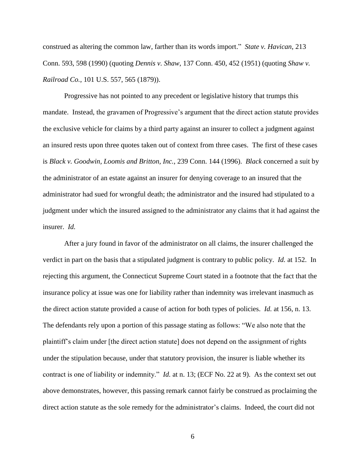construed as altering the common law, farther than its words import." *State v. Havican*, 213 Conn. 593, 598 (1990) (quoting *Dennis v. Shaw*, 137 Conn. 450, 452 (1951) (quoting *Shaw v. Railroad Co.*, 101 U.S. 557, 565 (1879)).

Progressive has not pointed to any precedent or legislative history that trumps this mandate. Instead, the gravamen of Progressive's argument that the direct action statute provides the exclusive vehicle for claims by a third party against an insurer to collect a judgment against an insured rests upon three quotes taken out of context from three cases. The first of these cases is *Black v. Goodwin, Loomis and Britton, Inc.*, 239 Conn. 144 (1996). *Black* concerned a suit by the administrator of an estate against an insurer for denying coverage to an insured that the administrator had sued for wrongful death; the administrator and the insured had stipulated to a judgment under which the insured assigned to the administrator any claims that it had against the insurer. *Id.*

After a jury found in favor of the administrator on all claims, the insurer challenged the verdict in part on the basis that a stipulated judgment is contrary to public policy. *Id.* at 152. In rejecting this argument, the Connecticut Supreme Court stated in a footnote that the fact that the insurance policy at issue was one for liability rather than indemnity was irrelevant inasmuch as the direct action statute provided a cause of action for both types of policies. *Id.* at 156, n. 13. The defendants rely upon a portion of this passage stating as follows: "We also note that the plaintiff's claim under [the direct action statute] does not depend on the assignment of rights under the stipulation because, under that statutory provision, the insurer is liable whether its contract is one of liability or indemnity." *Id.* at n. 13; (ECF No. 22 at 9). As the context set out above demonstrates, however, this passing remark cannot fairly be construed as proclaiming the direct action statute as the sole remedy for the administrator's claims. Indeed, the court did not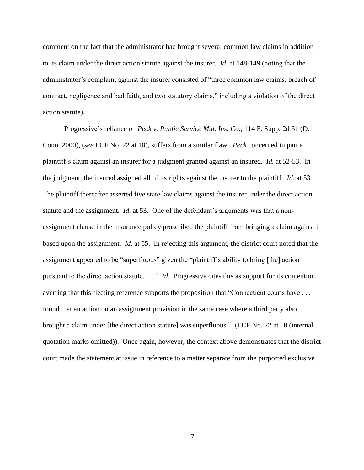comment on the fact that the administrator had brought several common law claims in addition to its claim under the direct action statute against the insurer. *Id.* at 148-149 (noting that the administrator's complaint against the insurer consisted of "three common law claims, breach of contract, negligence and bad faith, and two statutory claims," including a violation of the direct action statute).

Progressive's reliance on *Peck v. Public Service Mut. Ins. Co.*, 114 F. Supp. 2d 51 (D. Conn. 2000), (*see* ECF No. 22 at 10), suffers from a similar flaw. *Peck* concerned in part a plaintiff's claim against an insurer for a judgment granted against an insured. *Id.* at 52-53. In the judgment, the insured assigned all of its rights against the insurer to the plaintiff. *Id.* at 53. The plaintiff thereafter asserted five state law claims against the insurer under the direct action statute and the assignment. *Id.* at 53. One of the defendant's arguments was that a nonassignment clause in the insurance policy proscribed the plaintiff from bringing a claim against it based upon the assignment. *Id.* at 55. In rejecting this argument, the district court noted that the assignment appeared to be "superfluous" given the "plaintiff's ability to bring [the] action pursuant to the direct action statute. . . ." *Id.* Progressive cites this as support for its contention, averring that this fleeting reference supports the proposition that "Connecticut courts have . . . found that an action on an assignment provision in the same case where a third party also brought a claim under [the direct action statute] was superfluous." (ECF No. 22 at 10 (internal quotation marks omitted)). Once again, however, the context above demonstrates that the district court made the statement at issue in reference to a matter separate from the purported exclusive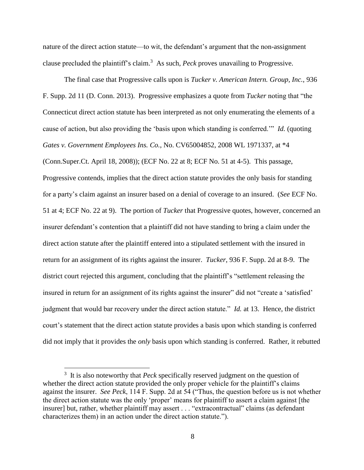nature of the direct action statute—to wit, the defendant's argument that the non-assignment clause precluded the plaintiff's claim. 3 As such, *Peck* proves unavailing to Progressive.

The final case that Progressive calls upon is *Tucker v. American Intern. Group, Inc.*, 936 F. Supp. 2d 11 (D. Conn. 2013). Progressive emphasizes a quote from *Tucker* noting that "the Connecticut direct action statute has been interpreted as not only enumerating the elements of a cause of action, but also providing the 'basis upon which standing is conferred.'" *Id.* (quoting *Gates v. Government Employees Ins. Co.*, No. CV65004852, 2008 WL 1971337, at \*4 (Conn.Super.Ct. April 18, 2008)); (ECF No. 22 at 8; ECF No. 51 at 4-5). This passage, Progressive contends, implies that the direct action statute provides the only basis for standing for a party's claim against an insurer based on a denial of coverage to an insured. (*See* ECF No. 51 at 4; ECF No. 22 at 9). The portion of *Tucker* that Progressive quotes, however, concerned an insurer defendant's contention that a plaintiff did not have standing to bring a claim under the direct action statute after the plaintiff entered into a stipulated settlement with the insured in return for an assignment of its rights against the insurer. *Tucker*, 936 F. Supp. 2d at 8-9. The district court rejected this argument, concluding that the plaintiff's "settlement releasing the insured in return for an assignment of its rights against the insurer" did not "create a 'satisfied' judgment that would bar recovery under the direct action statute." *Id.* at 13. Hence, the district court's statement that the direct action statute provides a basis upon which standing is conferred did not imply that it provides the *only* basis upon which standing is conferred. Rather, it rebutted

 $\overline{a}$ 

<sup>&</sup>lt;sup>3</sup> It is also noteworthy that *Peck* specifically reserved judgment on the question of whether the direct action statute provided the only proper vehicle for the plaintiff's claims against the insurer. *See Peck*, 114 F. Supp. 2d at 54 ("Thus, the question before us is not whether the direct action statute was the only 'proper' means for plaintiff to assert a claim against [the insurer] but, rather, whether plaintiff may assert . . . "extracontractual" claims (as defendant characterizes them) in an action under the direct action statute.").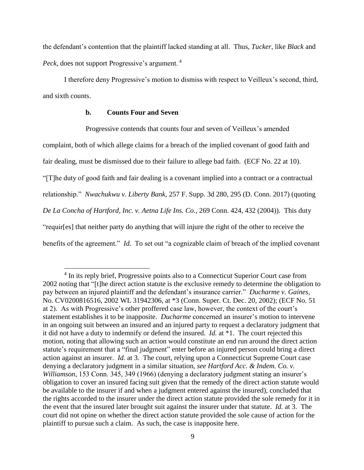the defendant's contention that the plaintiff lacked standing at all. Thus, *Tucker*, like *Black* and *Peck*, does not support Progressive's argument. <sup>4</sup>

I therefore deny Progressive's motion to dismiss with respect to Veilleux's second, third, and sixth counts.

### **b. Counts Four and Seven**

 $\overline{a}$ 

Progressive contends that counts four and seven of Veilleux's amended complaint, both of which allege claims for a breach of the implied covenant of good faith and fair dealing, must be dismissed due to their failure to allege bad faith. (ECF No. 22 at 10). "[T]he duty of good faith and fair dealing is a covenant implied into a contract or a contractual relationship." *Nwachukwu v. Liberty Bank*, 257 F. Supp. 3d 280, 295 (D. Conn. 2017) (quoting *De La Concha of Hartford, Inc. v. Aetna Life Ins. Co.*, 269 Conn. 424, 432 (2004)). This duty "requir[es] that neither party do anything that will injure the right of the other to receive the benefits of the agreement." *Id.* To set out "a cognizable claim of breach of the implied covenant

<sup>&</sup>lt;sup>4</sup> In its reply brief, Progressive points also to a Connecticut Superior Court case from 2002 noting that "[t]he direct action statute is the exclusive remedy to determine the obligation to pay between an injured plaintiff and the defendant's insurance carrier." *Ducharme v. Gaines*, No. CV0200816516, 2002 WL 31942306, at \*3 (Conn. Super. Ct. Dec. 20, 2002); (ECF No. 51 at 2). As with Progressive's other proffered case law, however, the context of the court's statement establishes it to be inapposite. *Ducharme* concerned an insurer's motion to intervene in an ongoing suit between an insured and an injured party to request a declaratory judgment that it did not have a duty to indemnify or defend the insured. *Id.* at \*1. The court rejected this motion, noting that allowing such an action would constitute an end run around the direct action statute's requirement that a "final judgment" enter before an injured person could bring a direct action against an insurer. *Id.* at 3. The court, relying upon a Connecticut Supreme Court case denying a declaratory judgment in a similar situation, *see Hartford Acc. & Indem. Co. v. Williamson*, 153 Conn. 345, 349 (1966) (denying a declaratory judgment stating an insurer's obligation to cover an insured facing suit given that the remedy of the direct action statute would be available to the insurer if and when a judgment entered against the insured), concluded that the rights accorded to the insurer under the direct action statute provided the sole remedy for it in the event that the insured later brought suit against the insurer under that statute. *Id.* at 3. The court did not opine on whether the direct action statute provided the sole cause of action for the plaintiff to pursue such a claim. As such, the case is inapposite here.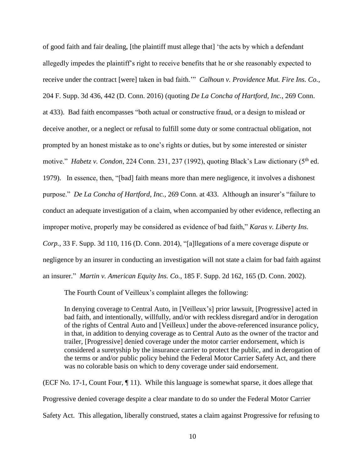of good faith and fair dealing, [the plaintiff must allege that] 'the acts by which a defendant allegedly impedes the plaintiff's right to receive benefits that he or she reasonably expected to receive under the contract [were] taken in bad faith.'" *Calhoun v. Providence Mut. Fire Ins. Co.*, 204 F. Supp. 3d 436, 442 (D. Conn. 2016) (quoting *De La Concha of Hartford, Inc.*, 269 Conn. at 433). Bad faith encompasses "both actual or constructive fraud, or a design to mislead or deceive another, or a neglect or refusal to fulfill some duty or some contractual obligation, not prompted by an honest mistake as to one's rights or duties, but by some interested or sinister motive." *Habetz v. Condon*, 224 Conn. 231, 237 (1992), quoting Black's Law dictionary (5<sup>th</sup> ed. 1979). In essence, then, "[bad] faith means more than mere negligence, it involves a dishonest purpose." *De La Concha of Hartford, Inc.*, 269 Conn. at 433. Although an insurer's "failure to conduct an adequate investigation of a claim, when accompanied by other evidence, reflecting an improper motive, properly may be considered as evidence of bad faith," *Karas v. Liberty Ins. Corp.*, 33 F. Supp. 3d 110, 116 (D. Conn. 2014), "[a]llegations of a mere coverage dispute or negligence by an insurer in conducting an investigation will not state a claim for bad faith against an insurer." *Martin v. American Equity Ins. Co.*, 185 F. Supp. 2d 162, 165 (D. Conn. 2002).

The Fourth Count of Veilleux's complaint alleges the following:

In denying coverage to Central Auto, in [Veilleux's] prior lawsuit, [Progressive] acted in bad faith, and intentionally, willfully, and/or with reckless disregard and/or in derogation of the rights of Central Auto and [Veilleux] under the above-referenced insurance policy, in that, in addition to denying coverage as to Central Auto as the owner of the tractor and trailer, [Progressive] denied coverage under the motor carrier endorsement, which is considered a suretyship by the insurance carrier to protect the public, and in derogation of the terms or and/or public policy behind the Federal Motor Carrier Safety Act, and there was no colorable basis on which to deny coverage under said endorsement.

(ECF No. 17-1, Count Four, ¶ 11). While this language is somewhat sparse, it does allege that Progressive denied coverage despite a clear mandate to do so under the Federal Motor Carrier Safety Act. This allegation, liberally construed, states a claim against Progressive for refusing to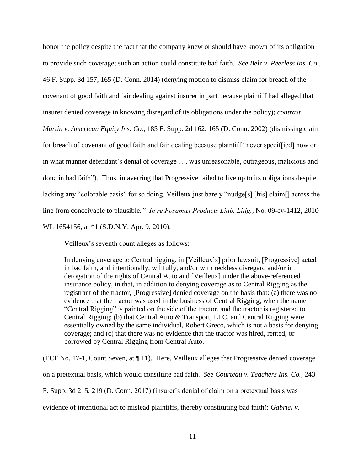honor the policy despite the fact that the company knew or should have known of its obligation to provide such coverage; such an action could constitute bad faith. *See Belz v. Peerless Ins. Co.*, 46 F. Supp. 3d 157, 165 (D. Conn. 2014) (denying motion to dismiss claim for breach of the covenant of good faith and fair dealing against insurer in part because plaintiff had alleged that insurer denied coverage in knowing disregard of its obligations under the policy); *contrast Martin v. American Equity Ins. Co.*, 185 F. Supp. 2d 162, 165 (D. Conn. 2002) (dismissing claim for breach of covenant of good faith and fair dealing because plaintiff "never specif[ied] how or in what manner defendant's denial of coverage . . . was unreasonable, outrageous, malicious and done in bad faith"). Thus, in averring that Progressive failed to live up to its obligations despite lacking any "colorable basis" for so doing, Veilleux just barely "nudge[s] [his] claim[] across the line from conceivable to plausible*." In re Fosamax Products Liab. Litig.*, No. 09-cv-1412, 2010 WL 1654156, at \*1 (S.D.N.Y. Apr. 9, 2010).

Veilleux's seventh count alleges as follows:

In denying coverage to Central rigging, in [Veilleux's] prior lawsuit, [Progressive] acted in bad faith, and intentionally, willfully, and/or with reckless disregard and/or in derogation of the rights of Central Auto and [Veilleux] under the above-referenced insurance policy, in that, in addition to denying coverage as to Central Rigging as the registrant of the tractor, [Progressive] denied coverage on the basis that: (a) there was no evidence that the tractor was used in the business of Central Rigging, when the name "Central Rigging" is painted on the side of the tractor, and the tractor is registered to Central Rigging; (b) that Central Auto & Transport, LLC, and Central Rigging were essentially owned by the same individual, Robert Greco, which is not a basis for denying coverage; and (c) that there was no evidence that the tractor was hired, rented, or borrowed by Central Rigging from Central Auto.

(ECF No. 17-1, Count Seven, at ¶ 11). Here, Veilleux alleges that Progressive denied coverage on a pretextual basis, which would constitute bad faith. *See Courteau v. Teachers Ins. Co.*, 243 F. Supp. 3d 215, 219 (D. Conn. 2017) (insurer's denial of claim on a pretextual basis was evidence of intentional act to mislead plaintiffs, thereby constituting bad faith); *Gabriel v.*